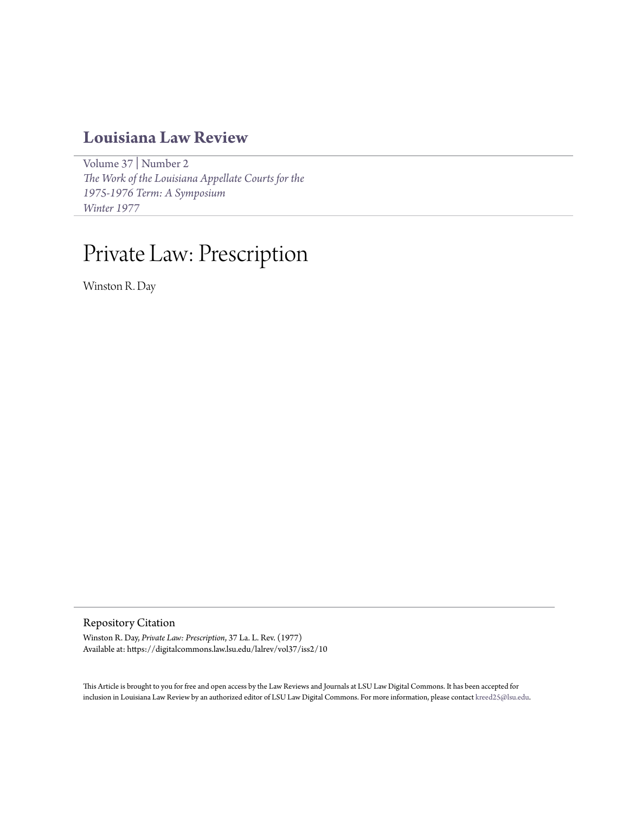# **[Louisiana Law Review](https://digitalcommons.law.lsu.edu/lalrev)**

[Volume 37](https://digitalcommons.law.lsu.edu/lalrev/vol37) | [Number 2](https://digitalcommons.law.lsu.edu/lalrev/vol37/iss2) *[The Work of the Louisiana Appellate Courts for the](https://digitalcommons.law.lsu.edu/lalrev/vol37/iss2) [1975-1976 Term: A Symposium](https://digitalcommons.law.lsu.edu/lalrev/vol37/iss2) [Winter 1977](https://digitalcommons.law.lsu.edu/lalrev/vol37/iss2)*

# Private Law: Prescription

Winston R. Day

Repository Citation

Winston R. Day, *Private Law: Prescription*, 37 La. L. Rev. (1977) Available at: https://digitalcommons.law.lsu.edu/lalrev/vol37/iss2/10

This Article is brought to you for free and open access by the Law Reviews and Journals at LSU Law Digital Commons. It has been accepted for inclusion in Louisiana Law Review by an authorized editor of LSU Law Digital Commons. For more information, please contact [kreed25@lsu.edu](mailto:kreed25@lsu.edu).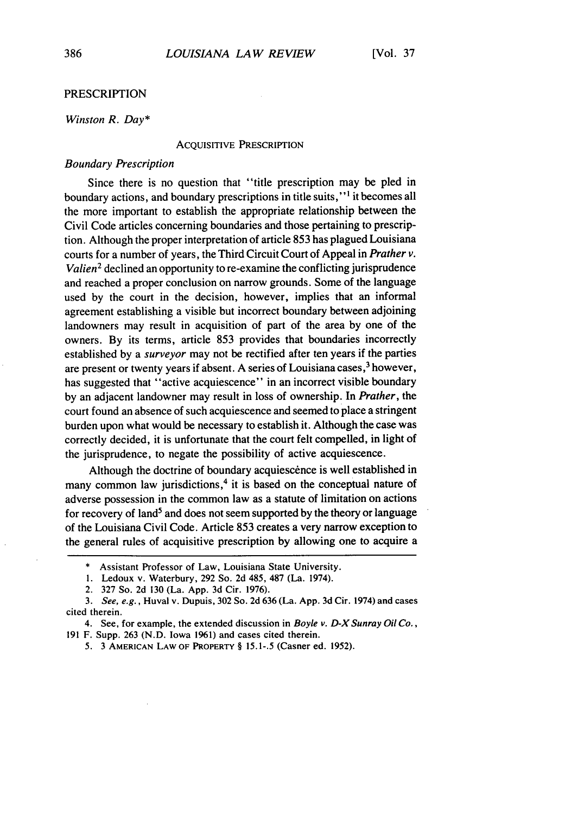# **PRESCRIPTION**

#### *Winston R. Day\**

#### ACQUISITIVE PRESCRIPTION

### Boundary *Prescription*

Since there is no question that "title prescription may be pled in boundary actions, and boundary prescriptions in title suits," **I** it becomes all the more important to establish the appropriate relationship between the Civil Code articles concerning boundaries and those pertaining to prescription. Although the proper interpretation of article 853 has plagued Louisiana courts for a number of years, the Third Circuit Court of Appeal in *Prather v. Valien2* declined an opportunity to re-examine the conflicting jurisprudence and reached a proper conclusion on narrow grounds. Some of the language used by the court in the decision, however, implies that an informal agreement establishing a visible but incorrect boundary between adjoining landowners may result in acquisition of part of the area by one of the owners. By its terms, article 853 provides that boundaries incorrectly established by a *surveyor* may not be rectified after ten years if the parties are present or twenty years if absent. A series of Louisiana cases, 3 however, has suggested that "active acquiescence" in an incorrect visible boundary by an adjacent landowner may result in loss of ownership. In *Prather,* the court found an absence of such acquiescence and seemed to place a stringent burden upon what would be necessary to establish it. Although the case was correctly decided, it is unfortunate that the court felt compelled, in light of the jurisprudence, to negate the possibility of active acquiescence.

Although the doctrine of boundary acquiescence is well established in many common law jurisdictions,<sup>4</sup> it is based on the conceptual nature of adverse possession in the common law as a statute of limitation on actions for recovery of land<sup>5</sup> and does not seem supported by the theory or language of the Louisiana Civil Code. Article 853 creates a very narrow exception to the general rules of acquisitive prescription by allowing one to acquire a

<sup>\*</sup> Assistant Professor of Law, Louisiana State University.

<sup>1.</sup> Ledoux v. Waterbury, 292 So. 2d 485, 487 (La. 1974).

<sup>2. 327</sup> So. 2d 130 (La. App. 3d Cir. 1976).

*<sup>3.</sup>* See, e.g., Huval v. Dupuis, 302 So. 2d 636 (La. App. 3d Cir. 1974) and cases cited therein.

<sup>4.</sup> See, for example, the extended discussion in Boyle *v.* D-XSunray *Oil Co.,* 191 F. Supp. 263 (N.D. Iowa **1961)** and cases cited therein.

<sup>5. 3</sup> **AMERICAN** LAW OF PROPERTY § 15.1-.5 (Casner ed. 1952).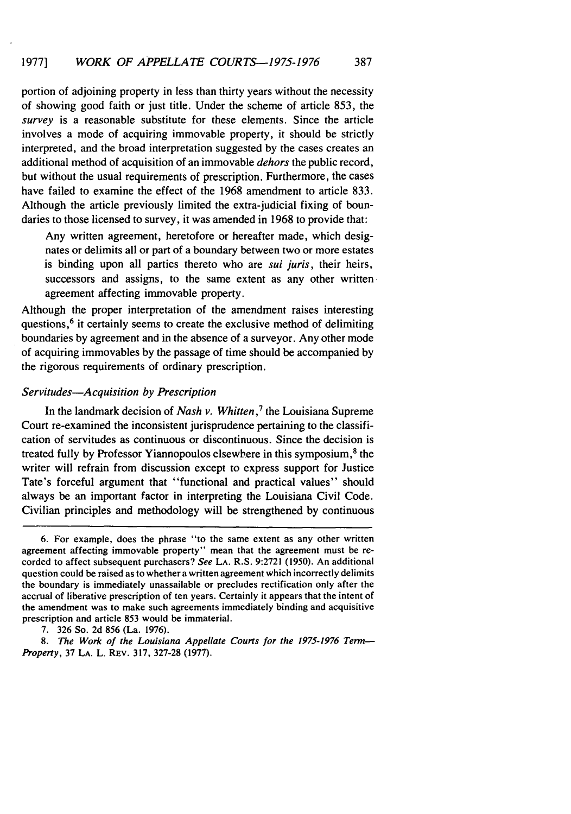portion of adjoining property in less than thirty years without the necessity of showing good faith or just title. Under the scheme of article 853, the survey is a reasonable substitute for these elements. Since the article involves a mode of acquiring immovable property, it should be strictly interpreted, and the broad interpretation suggested by the cases creates an additional method of acquisition of an immovable *dehors* the public record, but without the usual requirements of prescription. Furthermore, the cases have failed to examine the effect of the 1968 amendment to article 833. Although the article previously limited the extra-judicial fixing of boundaries to those licensed to survey, it was amended in 1968 to provide that:

Any written agreement, heretofore or hereafter made, which designates or delimits all or part of a boundary between two or more estates is binding upon all parties thereto who are sui *juris,* their heirs, successors and assigns, to the same extent as any other written agreement affecting immovable property.

Although the proper interpretation of the amendment raises interesting questions, $6$  it certainly seems to create the exclusive method of delimiting boundaries by agreement and in the absence of a surveyor. Any other mode of acquiring immovables by the passage of time should be accompanied by the rigorous requirements of ordinary prescription.

# *Servitudes-Acquisition by Prescription*

In the landmark decision of *Nash v. Whitten,'* the Louisiana Supreme Court re-examined the inconsistent jurisprudence pertaining to the classification of servitudes as continuous or discontinuous. Since the decision is treated fully by Professor Yiannopoulos elsewhere in this symposium,<sup>8</sup> the writer will refrain from discussion except to express support for Justice Tate's forceful argument that "functional and practical values" should always be an important factor in interpreting the Louisiana Civil Code. Civilian principles and methodology will be strengthened by continuous

<sup>6.</sup> For example, does the phrase "to the same extent as any other written agreement affecting immovable property" mean that the agreement must be recorded to affect subsequent purchasers? See **LA.** R.S. 9:2721 (1950). An additional question could be raised as to whether a written agreement which incorrectly delimits the boundary is immediately unassailable or precludes rectification only after the accrual of liberative prescription of ten years. Certainly it appears that the intent of the amendment was to make such agreements immediately binding and acquisitive prescription and article 853 would be immaterial.

<sup>7. 326</sup> So. 2d 856 (La. 1976).

*<sup>8.</sup> The Work of the Louisiana Appellate Courts for the 1975-1976 Term-Property,* **37 LA.** L. REV. **317, 327-28 (1977).**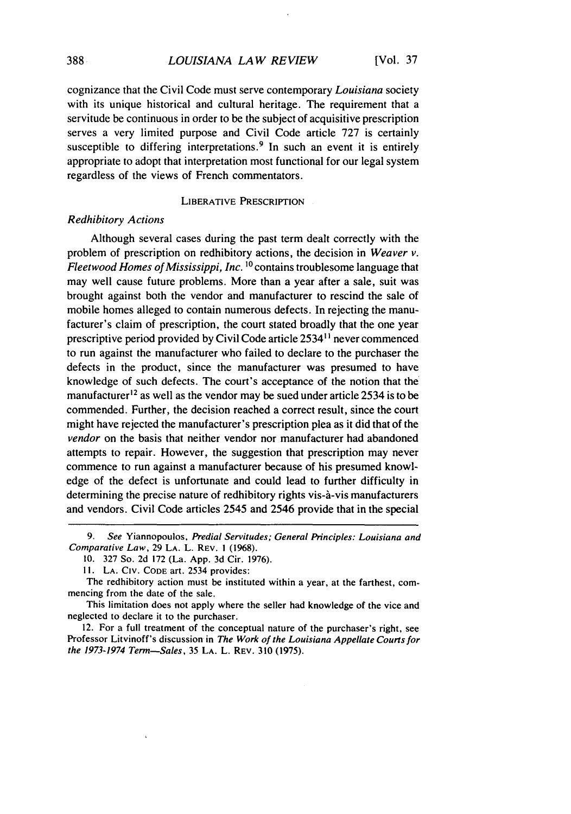cognizance that the Civil Code must serve contemporary *Louisiana* society with its unique historical and cultural heritage. The requirement that a servitude be continuous in order to be the subject of acquisitive prescription serves a very limited purpose and Civil Code article 727 is certainly susceptible to differing interpretations.<sup>9</sup> In such an event it is entirely appropriate to adopt that interpretation most functional for our legal system regardless of the views of French commentators.

LIBERATIVE PRESCRIPTION

# *Redhibitory Actions*

Although several cases during the past term dealt correctly with the problem of prescription on redhibitory actions, the decision in *Weaver v. Fleetwood Homes of Mississippi, Inc.* **' <sup>0</sup>**contains troublesome language that may well cause future problems. More than a year after a sale, suit was brought against both the vendor and manufacturer to rescind the sale of mobile homes alleged to contain numerous defects. In rejecting the manufacturer's claim of prescription, the court stated broadly that the one year prescriptive period provided by Civil Code article 2534"1 never commenced to run against the manufacturer who failed to declare to the purchaser the defects in the product, since the manufacturer was presumed to have knowledge of such defects. The court's acceptance of the notion that the manufacturer<sup>12</sup> as well as the vendor may be sued under article 2534 is to be commended. Further, the decision reached a correct result, since the court might have rejected the manufacturer's prescription plea as it did that of the *vendor* on the basis that neither vendor nor manufacturer had abandoned attempts to repair. However, the suggestion that prescription may never commence to run against a manufacturer because of his presumed knowledge of the defect is unfortunate and could lead to further difficulty in determining the precise nature of redhibitory rights vis-à-vis manufacturers and vendors. Civil Code articles 2545 and 2546 provide that in the special

<sup>9.</sup> See Yiannopoulos, Predial Servitudes; General Principles: Louisiana and Comparative Law, 29 LA. L. REV. I (1968).

<sup>10. 327</sup> So. 2d 172 (La. App. 3d Cir. 1976).

II. LA. CIv. CODE art. 2534 provides:

The redhibitory action must be instituted within a year, at the farthest, commencing from the date of the sale.

This limitation does not apply where the seller had knowledge of the vice and neglected to declare it to the purchaser.

<sup>12.</sup> For a full treatment of the conceptual nature of the purchaser's right, see Professor Litvinoff's discussion in The Work of the Louisiana Appellate Courts for the 1973-1974 Term-Sales, 35 **LA.** L. REv. 310 (1975).